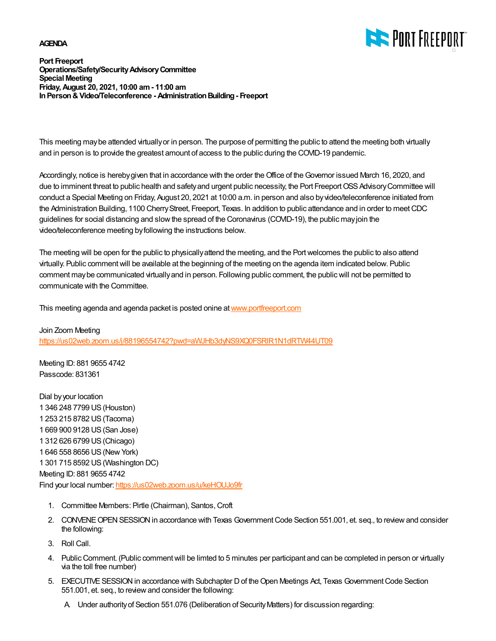## **AGENDA**



**Port Freeport Operations/Safety/Security Advisory Committee Special Meeting Friday, August 20, 2021, 10:00 am - 11:00 am In Person & Video/Teleconference - Administration Building - Freeport**

This meeting may be attended virtually or in person. The purpose of permitting the public to attend the meeting both virtually and in person is to provide the greatest amount of access to the public during the COVID-19 pandemic.

Accordingly, notice is hereby given that in accordance with the order the Office of the Governor issued March 16, 2020, and due to imminent threat to public health and safety and urgent public necessity, the Port Freeport OSS Advisory Committee will conduct a Special Meeting on Friday, August 20, 2021 at 10:00 a.m. in person and also by video/teleconference initiated from the Administration Building, 1100 Cherry Street, Freeport, Texas. In addition to public attendance and in order to meet CDC guidelines for social distancing and slow the spread of the Coronavirus (COVID-19), the public may join the video/teleconference meeting by following the instructions below.

The meeting will be open for the public to physically attend the meeting, and the Port welcomes the public to also attend virtually. Public comment will be available at the beginning of the meeting on the agenda item indicated below. Public comment may be communicated virtually and in person. Following public comment, the public will not be permitted to communicate with the Committee.

This meeting agenda and agenda packet is posted onine at [www.portfreeport.com](http://www.portfreeport.com)

Join Zoom Meeting <https://us02web.zoom.us/j/88196554742?pwd=aWJHb3dyNS9XQ0FSRlR1N1dRTW44UT09>

Meeting ID: 881 9655 4742 Passcode: 831361

Dial by your location 1 346 248 7799 US (Houston) 1 253 215 8782 US (Tacoma) 1 669 900 9128 US (San Jose) 1 312 626 6799 US (Chicago) 1 646 558 8656 US (New York) 1 301 715 8592 US (Washington DC) Meeting ID: 881 9655 4742 Find your local number:<https://us02web.zoom.us/u/keHOUJo9fr>

- 1. Committee Members: Pirtle (Chairman), Santos, Croft
- 2. CONVENE OPEN SESSION in accordance with Texas Government Code Section 551.001, et. seq., to review and consider the following:
- 3. Roll Call.
- 4. Public Comment. (Public comment will be limted to 5 minutes per participant and can be completed in person or virtually via the toll free number)
- 5. EXECUTIVE SESSION in accordance with Subchapter D of the Open Meetings Act, Texas Government Code Section 551.001, et. seq., to review and consider the following:
	- A. Under authority of Section 551.076 (Deliberation of Security Matters) for discussion regarding: